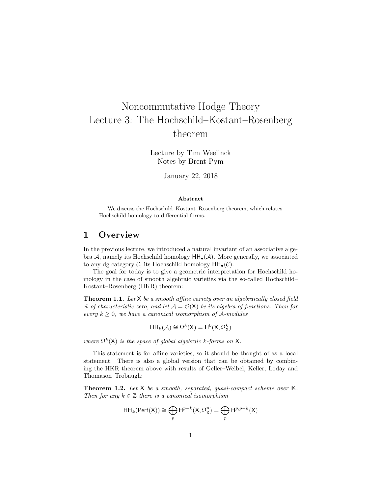# Noncommutative Hodge Theory Lecture 3: The Hochschild–Kostant–Rosenberg theorem

Lecture by Tim Weelinck Notes by Brent Pym

January 22, 2018

#### Abstract

We discuss the Hochschild–Kostant–Rosenberg theorem, which relates Hochschild homology to differential forms.

## 1 Overview

In the previous lecture, we introduced a natural invariant of an associative algebra A, namely its Hochschild homology  $HH_{\bullet}(\mathcal{A})$ . More generally, we associated to any dg category C, its Hochschild homology  $HH_{\bullet}(\mathcal{C})$ .

The goal for today is to give a geometric interpretation for Hochschild homology in the case of smooth algebraic varieties via the so-called Hochschild– Kostant–Rosenberg (HKR) theorem:

**Theorem 1.1.** Let  $X$  be a smooth affine variety over an algebraically closed field K of characteristic zero, and let  $A = \mathcal{O}(X)$  be its algebra of functions. Then for every  $k \geq 0$ , we have a canonical isomorphism of A-modules

$$
\mathsf{HH}_k(\mathcal{A}) \cong \Omega^k(\mathsf{X}) = \mathsf{H}^0(\mathsf{X}, \Omega^k_{\mathsf{X}})
$$

where  $\Omega^k(\mathsf{X})$  is the space of global algebraic k-forms on X.

This statement is for affine varieties, so it should be thought of as a local statement. There is also a global version that can be obtained by combining the HKR theorem above with results of Geller–Weibel, Keller, Loday and Thomason–Trobaugh:

**Theorem 1.2.** Let  $X$  be a smooth, separated, quasi-compact scheme over  $K$ . Then for any  $k \in \mathbb{Z}$  there is a canonical isomorphism

$$
\mathsf{HH}_k(\mathsf{Perf}(\mathsf{X})) \cong \bigoplus_{p} \mathsf{H}^{p-k}(\mathsf{X}, \Omega_{\mathsf{X}}^p) = \bigoplus_{p} \mathsf{H}^{p,p-k}(\mathsf{X})
$$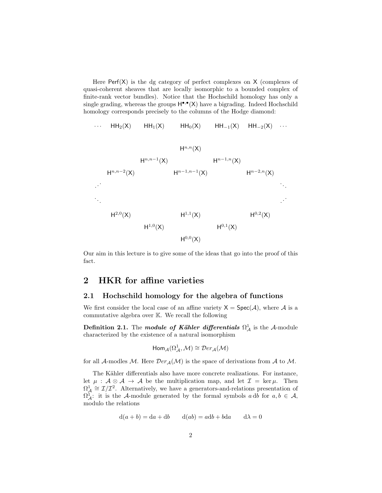Here  $\text{Perf}(X)$  is the dg category of perfect complexes on X (complexes of quasi-coherent sheaves that are locally isomorphic to a bounded complex of finite-rank vector bundles). Notice that the Hochschild homology has only a single grading, whereas the groups  $H^{\bullet,\bullet}(X)$  have a bigrading. Indeed Hochschild homology corresponds precisely to the columns of the Hodge diamond:

$$
\cdots \quad HH_2(X) \qquad HH_1(X) \qquad HH_0(X) \qquad HH_{-1}(X) \quad HH_{-2}(X) \quad \cdots
$$



Our aim in this lecture is to give some of the ideas that go into the proof of this fact.

# 2 HKR for affine varieties

#### 2.1 Hochschild homology for the algebra of functions

We first consider the local case of an affine variety  $X = Spec(A)$ , where A is a commutative algebra over K. We recall the following

Definition 2.1. The module of Kähler differentials  $\Omega^1_{\mathcal{A}}$  is the A-module characterized by the existence of a natural isomorphism

$$
\text{Hom}_{\mathcal{A}}(\Omega^{1}_{\mathcal{A}},\mathcal{M})\cong \mathcal{D}er_{\mathcal{A}}(\mathcal{M})
$$

for all A-modles M. Here  $Der_{\mathcal{A}}(\mathcal{M})$  is the space of derivations from A to M.

The Kähler differentials also have more concrete realizations. For instance, let  $\mu : A \otimes A \rightarrow A$  be the multiplication map, and let  $\mathcal{I} = \ker \mu$ . Then  $\Omega_{\mathcal{A}}^1 \cong \mathcal{I}/\mathcal{I}^2$ . Alternatively, we have a generators-and-relations presentation of  $\Omega_{\mathcal{A}}^1$ : it is the A-module generated by the formal symbols a db for  $a, b \in \mathcal{A}$ , modulo the relations

$$
d(a + b) = da + db \t d(ab) = adb + bda \t d\lambda = 0
$$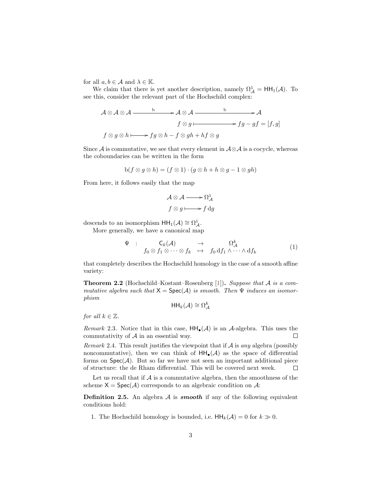for all  $a, b \in \mathcal{A}$  and  $\lambda \in \mathbb{K}$ .

We claim that there is yet another description, namely  $\Omega^1_{\mathcal{A}} = HH_1(\mathcal{A})$ . To see this, consider the relevant part of the Hochschild complex:

$$
A \otimes A \otimes A \xrightarrow{b} A \otimes A \xrightarrow{b} A
$$
  

$$
f \otimes g \xrightarrow{b} fg \otimes h \xrightarrow{f} g \otimes h - f \otimes gh + hf \otimes g
$$
  

$$
f \otimes g \otimes h \xrightarrow{f} fg \otimes h - f \otimes gh + hf \otimes g
$$

Since A is commutative, we see that every element in  $\mathcal{A} \otimes \mathcal{A}$  is a cocycle, whereas the coboundaries can be written in the form

$$
b(f \otimes g \otimes h) = (f \otimes 1) \cdot (g \otimes h + h \otimes g - 1 \otimes gh)
$$

From here, it follows easily that the map

<span id="page-2-1"></span>
$$
\mathcal{A} \otimes \mathcal{A} \longrightarrow \Omega_{\mathcal{A}}^{1}
$$

$$
f \otimes g \longmapsto f \, dg
$$

descends to an isomorphism  $HH_1(\mathcal{A}) \cong \Omega^1_{\mathcal{A}}$ .

More generally, we have a canonical map

$$
\Psi : \n\mathbf{C}_k(\mathcal{A}) \rightarrow \Omega_{\mathcal{A}}^k\n\mathbf{C}_k \rightarrow f_0 \, \mathrm{d} f_1 \wedge \cdots \wedge \mathrm{d} f_k \tag{1}
$$

that completely describes the Hochschild homology in the case of a smooth affine variety:

<span id="page-2-0"></span>**Theorem 2.2** (Hochschild–Kostant–Rosenberg [\[1\]](#page-5-0)). Suppose that  $A$  is a commutative algebra such that  $X = Spec(A)$  is smooth. Then  $\Psi$  induces an isomorphism

$$
\mathsf{HH}_k(\mathcal{A}) \cong \Omega_{\mathcal{A}}^k
$$

for all  $k \in \mathbb{Z}$ .

Remark 2.3. Notice that in this case,  $HH_{\bullet}(\mathcal{A})$  is an  $\mathcal{A}\text{-algebra}$ . This uses the commutativity of  $A$  in an essential way.  $\Box$ 

Remark 2.4. This result justifies the viewpoint that if  $A$  is any algebra (possibly noncommutative), then we can think of  $HH_{\bullet}(\mathcal{A})$  as the space of differential forms on  $Spec(\mathcal{A})$ . But so far we have not seen an important additional piece of structure: the de Rham differential. This will be covered next week.  $\Box$ 

Let us recall that if  $A$  is a commutative algebra, then the smoothness of the scheme  $X = Spec(A)$  corresponds to an algebraic condition on A:

**Definition 2.5.** An algebra  $A$  is **smooth** if any of the following equivalent conditions hold:

1. The Hochschild homology is bounded, i.e.  $HH_k(\mathcal{A}) = 0$  for  $k \gg 0$ .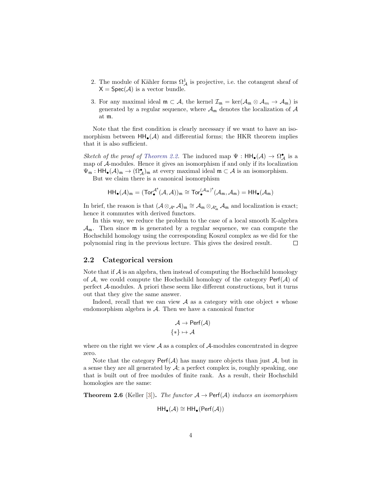- 2. The module of Kähler forms  $\Omega^1_{\mathcal{A}}$  is projective, i.e. the cotangent sheaf of  $X = Spec(A)$  is a vector bundle.
- 3. For any maximal ideal  $\mathfrak{m} \subset \mathcal{A}$ , the kernel  $\mathcal{I}_{\mathfrak{m}} = \ker(\mathcal{A}_{\mathfrak{m}} \otimes \mathcal{A}_{m} \to \mathcal{A}_{\mathfrak{m}})$  is generated by a regular sequence, where  $\mathcal{A}_{m}$  denotes the localization of  $\mathcal{A}$ at m.

Note that the first condition is clearly necessary if we want to have an isomorphism between  $HH_{\bullet}(\mathcal{A})$  and differential forms; the HKR theorem implies that it is also sufficient.

Sketch of the proof of [Theorem 2.2.](#page-2-0) The induced map  $\Psi$  :  $HH_{\bullet}(A) \to \Omega_{A}^{\bullet}$  is a map of A-modules. Hence it gives an isomorphism if and only if its localization  $\Psi_{\mathfrak{m}}: \mathsf{HH}_{\bullet}(\mathcal{A})_{\mathfrak{m}} \to (\Omega^{\bullet}_{\mathcal{A}})_{\mathfrak{m}}$  at every maximal ideal  $\mathfrak{m} \subset \mathcal{A}$  is an isomorphism.

But we claim there is a canonical isomorphism

$$
\mathsf{HH}_{\bullet}(\mathcal{A})_{\mathfrak{m}}=(\mathsf{Tor}^{\mathcal{A}^e}_{\bullet}(\mathcal{A},\mathcal{A}))_{\mathfrak{m}}\cong \mathsf{Tor}^{(\mathcal{A}_{\mathfrak{m}})^e}_{\bullet}(\mathcal{A}_{\mathfrak{m}},\mathcal{A}_{\mathfrak{m}})=\mathsf{HH}_{\bullet}(\mathcal{A}_{\mathfrak{m}})
$$

In brief, the reason is that  $(\mathcal{A} \otimes_{\mathcal{A}^e} \mathcal{A})_{\mathfrak{m}} \cong \mathcal{A}_{\mathfrak{m}} \otimes_{\mathcal{A}_{\mathfrak{m}}^e} \mathcal{A}_{\mathfrak{m}}$  and localization is exact; hence it commutes with derived functors.

In this way, we reduce the problem to the case of a local smooth K-algebra  $\mathcal{A}_{m}$ . Then since  $m$  is generated by a regular sequence, we can compute the Hochschild homology using the corresponding Koszul complex as we did for the polynomial ring in the previous lecture. This gives the desired result.  $\Box$ 

#### 2.2 Categorical version

Note that if  $\mathcal A$  is an algebra, then instead of computing the Hochschild homology of  $A$ , we could compute the Hochschild homology of the category  $\text{Perf}(A)$  of perfect A-modules. A priori these seem like different constructions, but it turns out that they give the same answer.

Indeed, recall that we can view  $\mathcal A$  as a category with one object  $*$  whose endomorphism algebra is A. Then we have a canonical functor

$$
\mathcal{A} \to \mathsf{Perf}(\mathcal{A})
$$

$$
\{*\} \mapsto \mathcal{A}
$$

where on the right we view  $A$  as a complex of  $A$ -modules concentrated in degree zero.

Note that the category  $\text{Perf}(\mathcal{A})$  has many more objects than just  $\mathcal{A}$ , but in a sense they are all generated by  $\mathcal{A}$ ; a perfect complex is, roughly speaking, one that is built out of free modules of finite rank. As a result, their Hochschild homologies are the same:

<span id="page-3-0"></span>**Theorem 2.6** (Keller [\[3\]](#page-5-1)). The functor  $A \rightarrow$  Perf(A) induces an isomorphism

$$
\mathsf{HH}_{\bullet}(\mathcal{A}) \cong \mathsf{HH}_{\bullet}(\mathsf{Perf}(\mathcal{A}))
$$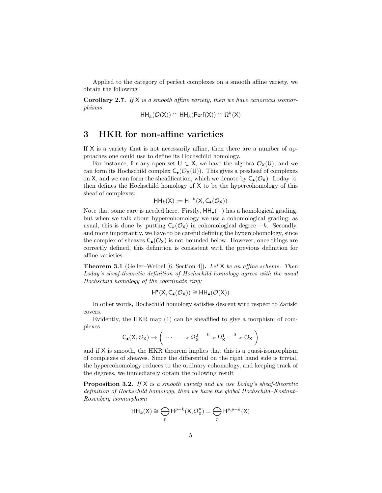Applied to the category of perfect complexes on a smooth affine variety, we obtain the following

**Corollary 2.7.** If  $X$  is a smooth affine variety, then we have canonical isomorphisms

$$
\mathsf{HH}_k(\mathcal{O}(\mathsf{X})) \cong \mathsf{HH}_k(\mathsf{Perf}(\mathsf{X})) \cong \Omega^k(\mathsf{X})
$$

# 3 HKR for non-affine varieties

If X is a variety that is not necessarily affine, then there are a number of approaches one could use to define its Hochschild homology.

For instance, for any open set  $U \subset X$ , we have the algebra  $\mathcal{O}_X(U)$ , and we can form its Hochschild complex  $C_{\bullet}(\mathcal{O}_X(U))$ . This gives a presheaf of complexes on X, and we can form the sheafification, which we denote by  $C_{\bullet}(\mathcal{O}_{\mathsf{X}})$ . Loday [\[4\]](#page-5-2) then defines the Hochschild homology of X to be the hypercohomology of this sheaf of complexes:

$$
\mathsf{HH}_k(\mathsf{X}) := \mathsf{H}^{-k}(\mathsf{X}, \mathsf{C}_{\bullet}(\mathcal{O}_{\mathsf{X}}))
$$

Note that some care is needed here. Firstly,  $HH_{\bullet}(-)$  has a homological grading, but when we talk about hypercohomology we use a cohomological grading; as usual, this is done by putting  $C_k(\mathcal{O}_X)$  in cohomological degree  $-k$ . Secondly, and more importantly, we have to be careful defining the hypercohomology, since the complex of sheaves  $C_{\bullet}(\mathcal{O}_X)$  is not bounded below. However, once things are correctly defined, this definition is consistent with the previous definition for affine varieties:

<span id="page-4-0"></span>**Theorem 3.1** (Geller–Weibel [\[6,](#page-6-0) Section 4]). Let  $X$  be an affine scheme. Then Loday's sheaf-theoretic definition of Hochschild homology agrees with the usual Hochschild homology of the coordinate ring:

$$
H^{\bullet}(X,C_{\bullet}(\mathcal{O}_X))\cong HH_{\bullet}(\mathcal{O}(X))
$$

In other words, Hochschild homology satisfies descent with respect to Zariski covers.

Evidently, the HKR map [\(1\)](#page-2-1) can be sheafified to give a morphism of complexes

$$
C_{\bullet}(X,\mathcal{O}_X) \to \left(\; \cdots \longrightarrow \Omega_X^2 \stackrel{0}{\longrightarrow} \Omega_X^1 \stackrel{0}{\longrightarrow} \mathcal{O}_X \;\right)
$$

and if X is smooth, the HKR theorem implies that this is a quasi-isomorphism of complexes of sheaves. Since the differential on the right hand side is trivial, the hypercohomology reduces to the ordinary cohomology, and keeping track of the degrees, we immediately obtain the following result

**Proposition 3.2.** If  $X$  is a smooth variety and we use Loday's sheaf-theoretic definition of Hochschild homology, then we have the global Hochschild–Kostant– Rosenberg isomorphism

$$
\mathsf{HH}_k(\mathsf{X}) \cong \bigoplus_p \mathsf{H}^{p-k}(\mathsf{X}, \Omega_{\mathsf{X}}^p) = \bigoplus_p \mathsf{H}^{p, p-k}(\mathsf{X})
$$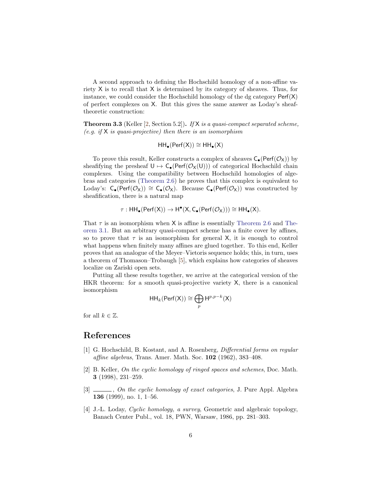A second approach to defining the Hochschild homology of a non-affine variety X is to recall that X is determined by its category of sheaves. Thus, for instance, we could consider the Hochschild homology of the dg category  $\text{Perf}(X)$ of perfect complexes on X. But this gives the same answer as Loday's sheaftheoretic construction:

**Theorem 3.3** (Keller [\[2,](#page-5-3) Section 5.2]). If  $X$  is a quasi-compact separated scheme, (e.g. if  $X$  is quasi-projective) then there is an isomorphism

$$
HH_\bullet(Perf(X))\cong HH_\bullet(X)
$$

To prove this result, Keller constructs a complex of sheaves  $C_{\bullet}(\text{Perf}(\mathcal{O}_{X}))$  by sheafifying the presheaf  $U \mapsto C_{\bullet}(\text{Perf}(\mathcal{O}_X(U)))$  of categorical Hochschild chain complexes. Using the compatibility between Hochschild homologies of algebras and categories [\(Theorem 2.6\)](#page-3-0) he proves that this complex is equivalent to Loday's:  $C_{\bullet}(\text{Perf}(\mathcal{O}_X)) \cong C_{\bullet}(\mathcal{O}_X)$ . Because  $C_{\bullet}(\text{Perf}(\mathcal{O}_X))$  was constructed by sheafification, there is a natural map

$$
\tau: \mathsf{HH}_{\bullet}(\mathsf{Perf}(X)) \to \mathsf{H}^{\bullet}(X, \mathsf{C}_{\bullet}(\mathsf{Perf}(\mathcal{O}_X))) \cong \mathsf{HH}_{\bullet}(X).
$$

That  $\tau$  is an isomorphism when X is affine is essentially [Theorem 2.6](#page-3-0) and [The](#page-4-0)[orem 3.1.](#page-4-0) But an arbitrary quasi-compact scheme has a finite cover by affines, so to prove that  $\tau$  is an isomorphism for general X, it is enough to control what happens when finitely many affines are glued together. To this end, Keller proves that an analogue of the Meyer–Vietoris sequence holds; this, in turn, uses a theorem of Thomason–Trobaugh [\[5\]](#page-6-1), which explains how categories of sheaves localize on Zariski open sets.

Putting all these results together, we arrive at the categorical version of the HKR theorem: for a smooth quasi-projective variety X, there is a canonical isomorphism

$$
\mathsf{HH}_k(\mathsf{Perf}(\mathsf{X})) \cong \bigoplus_p \mathsf{H}^{p,p-k}(\mathsf{X})
$$

for all  $k \in \mathbb{Z}$ .

### References

- <span id="page-5-0"></span>[1] G. Hochschild, B. Kostant, and A. Rosenberg, Differential forms on regular affine algebras, Trans. Amer. Math. Soc. 102 (1962), 383–408.
- <span id="page-5-3"></span>[2] B. Keller, On the cyclic homology of ringed spaces and schemes, Doc. Math. 3 (1998), 231–259.
- <span id="page-5-1"></span>[3]  $\ldots$ , On the cyclic homology of exact categories, J. Pure Appl. Algebra 136 (1999), no. 1, 1–56.
- <span id="page-5-2"></span>[4] J.-L. Loday, *Cyclic homology*, *a survey*, Geometric and algebraic topology, Banach Center Publ., vol. 18, PWN, Warsaw, 1986, pp. 281–303.